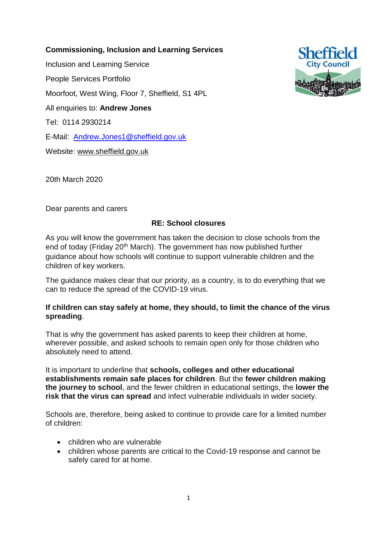**Commissioning, Inclusion and Learning Services** Inclusion and Learning Service People Services Portfolio Moorfoot, West Wing, Floor 7, Sheffield, S1 4PL All enquiries to: **Andrew Jones** Tel: 0114 2930214 E-Mail: [Andrew.Jones1@sheffield.gov.uk](mailto:Andrew.Jones1@sheffield.gov.uk) Website: [www.sheffield.gov.uk](http://www.sheffield.gov.uk/)



20th March 2020

Dear parents and carers

## **RE: School closures**

As you will know the government has taken the decision to close schools from the end of today (Friday 20<sup>th</sup> March). The government has now published further guidance about how schools will continue to support vulnerable children and the children of key workers.

The guidance makes clear that our priority, as a country, is to do everything that we can to reduce the spread of the COVID-19 virus.

#### **If children can stay safely at home, they should, to limit the chance of the virus spreading**.

That is why the government has asked parents to keep their children at home, wherever possible, and asked schools to remain open only for those children who absolutely need to attend.

It is important to underline that **schools, colleges and other educational establishments remain safe places for children**. But the **fewer children making the journey to school**, and the fewer children in educational settings, the **lower the risk that the virus can spread** and infect vulnerable individuals in wider society.

Schools are, therefore, being asked to continue to provide care for a limited number of children:

- children who are vulnerable
- children whose parents are critical to the Covid-19 response and cannot be safely cared for at home.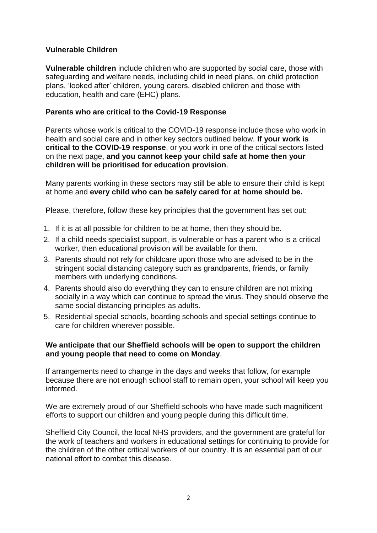## **Vulnerable Children**

**Vulnerable children** include children who are supported by social care, those with safeguarding and welfare needs, including child in need plans, on child protection plans, 'looked after' children, young carers, disabled children and those with education, health and care (EHC) plans.

#### **Parents who are critical to the Covid-19 Response**

Parents whose work is critical to the COVID-19 response include those who work in health and social care and in other key sectors outlined below. **If your work is critical to the COVID-19 response**, or you work in one of the critical sectors listed on the next page, **and you cannot keep your child safe at home then your children will be prioritised for education provision**.

Many parents working in these sectors may still be able to ensure their child is kept at home and **every child who can be safely cared for at home should be.**

Please, therefore, follow these key principles that the government has set out:

- 1. If it is at all possible for children to be at home, then they should be.
- 2. If a child needs specialist support, is vulnerable or has a parent who is a critical worker, then educational provision will be available for them.
- 3. Parents should not rely for childcare upon those who are advised to be in the stringent social distancing category such as grandparents, friends, or family members with underlying conditions.
- 4. Parents should also do everything they can to ensure children are not mixing socially in a way which can continue to spread the virus. They should observe the same social distancing principles as adults.
- 5. Residential special schools, boarding schools and special settings continue to care for children wherever possible.

#### **We anticipate that our Sheffield schools will be open to support the children and young people that need to come on Monday**.

If arrangements need to change in the days and weeks that follow, for example because there are not enough school staff to remain open, your school will keep you informed.

We are extremely proud of our Sheffield schools who have made such magnificent efforts to support our children and young people during this difficult time.

Sheffield City Council, the local NHS providers, and the government are grateful for the work of teachers and workers in educational settings for continuing to provide for the children of the other critical workers of our country. It is an essential part of our national effort to combat this disease.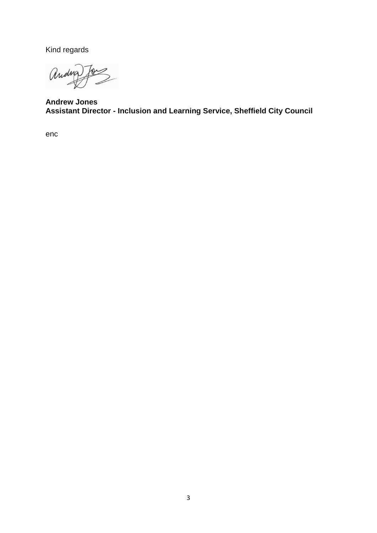Kind regards

andry

**Andrew Jones Assistant Director - Inclusion and Learning Service, Sheffield City Council**

enc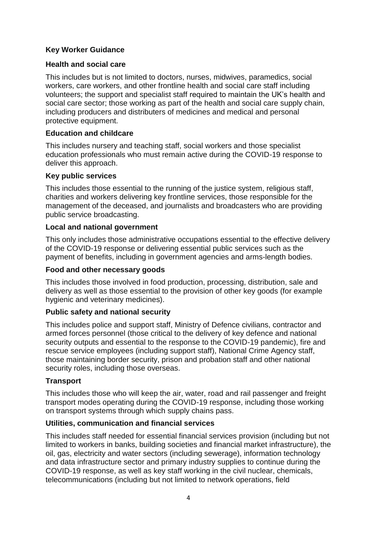# **Key Worker Guidance**

## **Health and social care**

This includes but is not limited to doctors, nurses, midwives, paramedics, social workers, care workers, and other frontline health and social care staff including volunteers; the support and specialist staff required to maintain the UK's health and social care sector; those working as part of the health and social care supply chain, including producers and distributers of medicines and medical and personal protective equipment.

## **Education and childcare**

This includes nursery and teaching staff, social workers and those specialist education professionals who must remain active during the COVID-19 response to deliver this approach.

## **Key public services**

This includes those essential to the running of the justice system, religious staff, charities and workers delivering key frontline services, those responsible for the management of the deceased, and journalists and broadcasters who are providing public service broadcasting.

## **Local and national government**

This only includes those administrative occupations essential to the effective delivery of the COVID-19 response or delivering essential public services such as the payment of benefits, including in government agencies and arms-length bodies.

## **Food and other necessary goods**

This includes those involved in food production, processing, distribution, sale and delivery as well as those essential to the provision of other key goods (for example hygienic and veterinary medicines).

#### **Public safety and national security**

This includes police and support staff, Ministry of Defence civilians, contractor and armed forces personnel (those critical to the delivery of key defence and national security outputs and essential to the response to the COVID-19 pandemic), fire and rescue service employees (including support staff), National Crime Agency staff, those maintaining border security, prison and probation staff and other national security roles, including those overseas.

#### **Transport**

This includes those who will keep the air, water, road and rail passenger and freight transport modes operating during the COVID-19 response, including those working on transport systems through which supply chains pass.

# **Utilities, communication and financial services**

This includes staff needed for essential financial services provision (including but not limited to workers in banks, building societies and financial market infrastructure), the oil, gas, electricity and water sectors (including sewerage), information technology and data infrastructure sector and primary industry supplies to continue during the COVID-19 response, as well as key staff working in the civil nuclear, chemicals, telecommunications (including but not limited to network operations, field